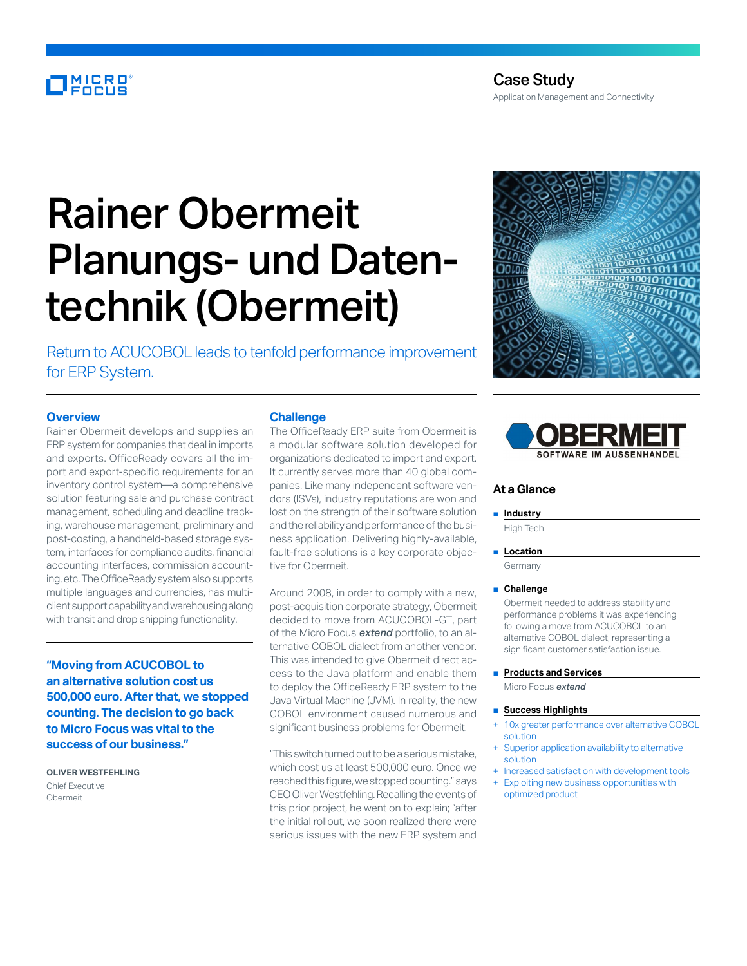# MICRO<br>FOCUS

# Rainer Obermeit Planungs- und Datentechnik (Obermeit)

Return to ACUCOBOL leads to tenfold performance improvement for ERP System.

## **Overview**

Rainer Obermeit develops and supplies an ERP system for companies that deal in imports and exports. OfficeReady covers all the import and export-specific requirements for an inventory control system—a comprehensive solution featuring sale and purchase contract management, scheduling and deadline tracking, warehouse management, preliminary and post-costing, a handheld-based storage system, interfaces for compliance audits, financial accounting interfaces, commission accounting, etc. The OfficeReady system also supports multiple languages and currencies, has multiclient support capability and warehousing along with transit and drop shipping functionality.

**"Moving from ACUCOBOL to an alternative solution cost us 500,000 euro. After that, we stopped counting. The decision to go back to Micro Focus was vital to the success of our business."**

**OLIVER WESTFEHLING** Chief Executive Obermeit

#### **Challenge**

The OfficeReady ERP suite from Obermeit is a modular software solution developed for organizations dedicated to import and export. It currently serves more than 40 global companies. Like many independent software vendors (ISVs), industry reputations are won and lost on the strength of their software solution and the reliability and performance of the business application. Delivering highly-available, fault-free solutions is a key corporate objective for Obermeit.

Around 2008, in order to comply with a new, post-acquisition corporate strategy, Obermeit decided to move from ACUCOBOL-GT, part of the Micro Focus *extend* portfolio, to an alternative COBOL dialect from another vendor. This was intended to give Obermeit direct access to the Java platform and enable them to deploy the OfficeReady ERP system to the Java Virtual Machine (JVM). In reality, the new COBOL environment caused numerous and significant business problems for Obermeit.

"This switch turned out to be a serious mistake, which cost us at least 500,000 euro. Once we reached this figure, we stopped counting." says CEO Oliver Westfehling. Recalling the events of this prior project, he went on to explain; "after the initial rollout, we soon realized there were serious issues with the new ERP system and





### **At a Glance**

■ **Industry** 

High Tech

■ **Location** 

Germany

■ **Challenge**

Obermeit needed to address stability and performance problems it was experiencing following a move from ACUCOBOL to an alternative COBOL dialect, representing a significant customer satisfaction issue.

■ **Products and Services** 

Micro Focus *extend*

- **Success Highlights**
- 10x greater performance over alternative COBOL solution
- Superior application availability to alternative solution
- Increased satisfaction with development tools
- Exploiting new business opportunities with optimized product